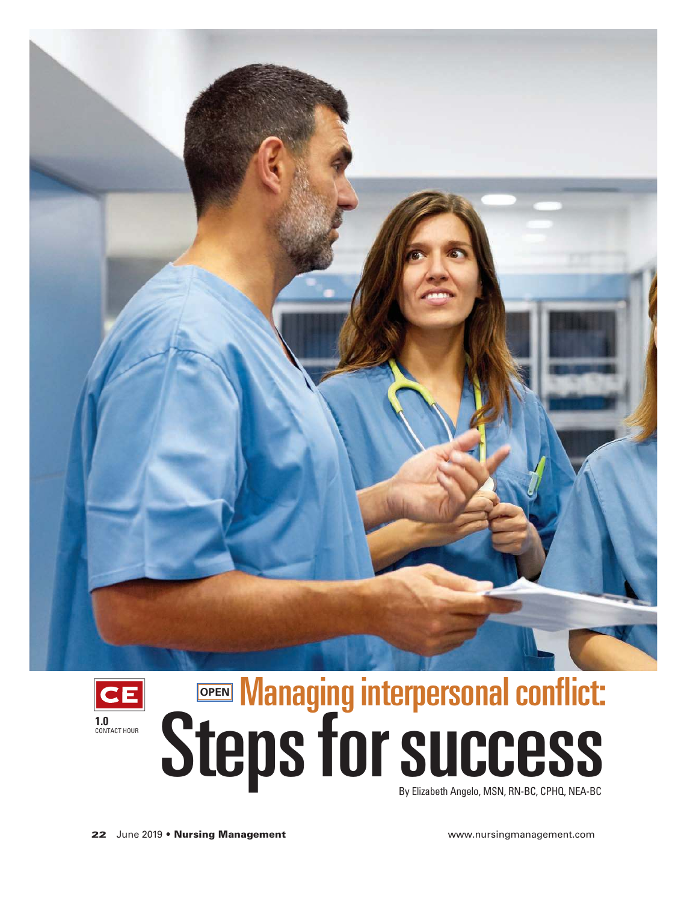



By Elizabeth Angelo, MSN, RN-BC, CPHQ, NEA-BC Managing interpersonal conflict: **Steps for success Managing Steps for Success OPEN**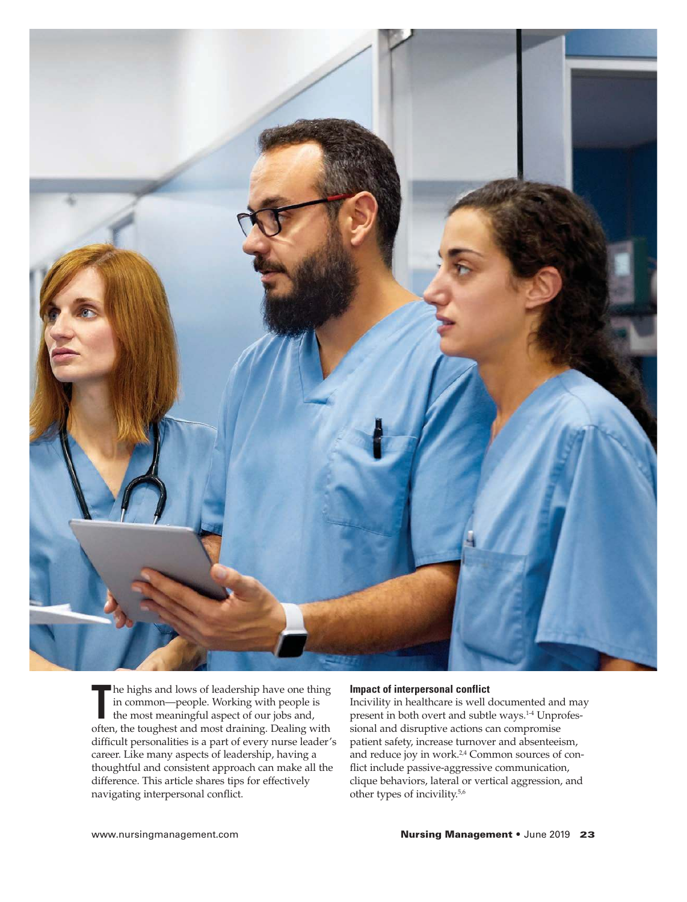

The nights and lows of leadership have one thing<br>
in common—people. Working with people is<br>
the most meaningful aspect of our jobs and,<br>
often, the toughest and most draining. Dealing with he highs and lows of leadership have one thing in common—people. Working with people is the most meaningful aspect of our jobs and, difficult personalities is a part of every nurse leader's career. Like many aspects of leadership, having a thoughtful and consistent approach can make all the difference. This article shares tips for effectively navigating interpersonal conflict.

## **Impact of interpersonal conflict**

Incivility in healthcare is well documented and may present in both overt and subtle ways.<sup>1-4</sup> Unprofessional and disruptive actions can compromise patient safety, increase turnover and absenteeism, and reduce joy in work.<sup>2,4</sup> Common sources of conflict include passive-aggressive communication, clique behaviors, lateral or vertical aggression, and other types of incivility.5,6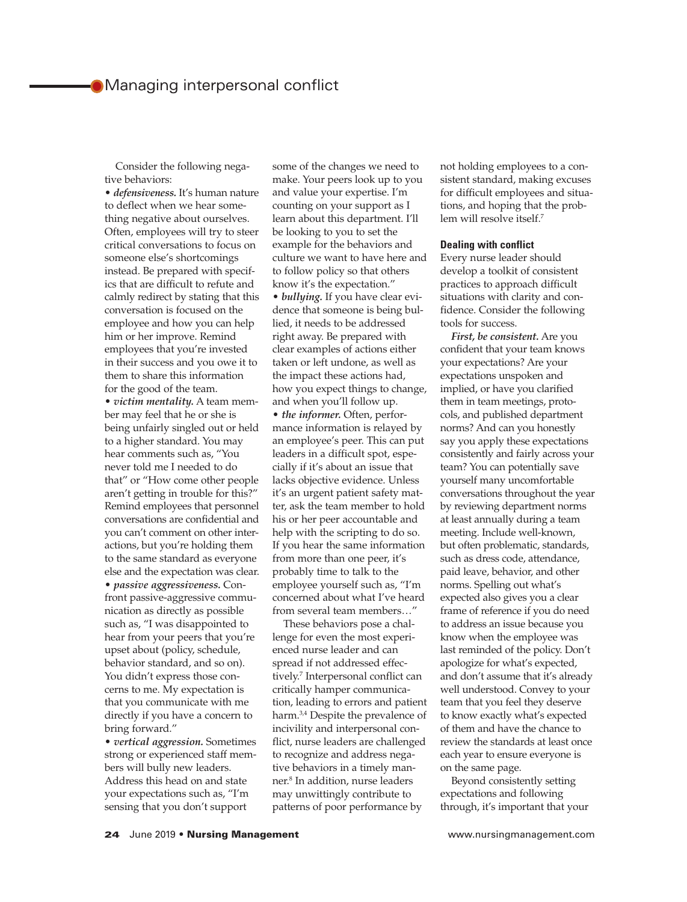# **Managing interpersonal conflict**

Consider the following negative behaviors:

• *defensiveness.* It's human nature to deflect when we hear something negative about ourselves. Often, employees will try to steer critical conversations to focus on someone else's shortcomings instead. Be prepared with specifics that are difficult to refute and calmly redirect by stating that this conversation is focused on the employee and how you can help him or her improve. Remind employees that you're invested in their success and you owe it to them to share this information for the good of the team.

• *victim mentality.* A team member may feel that he or she is being unfairly singled out or held to a higher standard. You may hear comments such as, "You never told me I needed to do that" or "How come other people aren't getting in trouble for this?" Remind employees that personnel conversations are confidential and you can't comment on other interactions, but you're holding them to the same standard as everyone else and the expectation was clear.

• *passive aggressiveness.* Confront passive-aggressive communication as directly as possible such as, "I was disappointed to hear from your peers that you're upset about (policy, schedule, behavior standard, and so on). You didn't express those concerns to me. My expectation is that you communicate with me directly if you have a concern to bring forward."

• *vertical aggression.* Sometimes strong or experienced staff members will bully new leaders. Address this head on and state your expectations such as, "I'm sensing that you don't support

some of the changes we need to make. Your peers look up to you and value your expertise. I'm counting on your support as I learn about this department. I'll be looking to you to set the example for the behaviors and culture we want to have here and to follow policy so that others know it's the expectation." • *bullying.* If you have clear evidence that someone is being bullied, it needs to be addressed right away. Be prepared with clear examples of actions either taken or left undone, as well as the impact these actions had, how you expect things to change, and when you'll follow up. • *the informer.* Often, performance information is relayed by an employee's peer. This can put leaders in a difficult spot, especially if it's about an issue that

lacks objective evidence. Unless it's an urgent patient safety matter, ask the team member to hold his or her peer accountable and help with the scripting to do so. If you hear the same information from more than one peer, it's probably time to talk to the employee yourself such as, "I'm concerned about what I've heard from several team members…"

These behaviors pose a challenge for even the most experienced nurse leader and can spread if not addressed effectively.<sup>7</sup> Interpersonal conflict can critically hamper communication, leading to errors and patient harm.<sup>3,4</sup> Despite the prevalence of incivility and interpersonal conflict, nurse leaders are challenged to recognize and address negative behaviors in a timely manner.<sup>8</sup> In addition, nurse leaders may unwittingly contribute to patterns of poor performance by

not holding employees to a consistent standard, making excuses for difficult employees and situations, and hoping that the problem will resolve itself.<sup>7</sup>

## **Dealing with conflict**

Every nurse leader should develop a toolkit of consistent practices to approach difficult situations with clarity and confidence. Consider the following tools for success.

*First, be consistent.* Are you confident that your team knows your expectations? Are your expectations unspoken and implied, or have you clarified them in team meetings, protocols, and published department norms? And can you honestly say you apply these expectations consistently and fairly across your team? You can potentially save yourself many uncomfortable conversations throughout the year by reviewing department norms at least annually during a team meeting. Include well-known, but often problematic, standards, such as dress code, attendance, paid leave, behavior, and other norms. Spelling out what's expected also gives you a clear frame of reference if you do need to address an issue because you know when the employee was last reminded of the policy. Don't apologize for what's expected, and don't assume that it's already well understood. Convey to your team that you feel they deserve to know exactly what's expected of them and have the chance to review the standards at least once each year to ensure everyone is on the same page.

Beyond consistently setting expectations and following through, it's important that your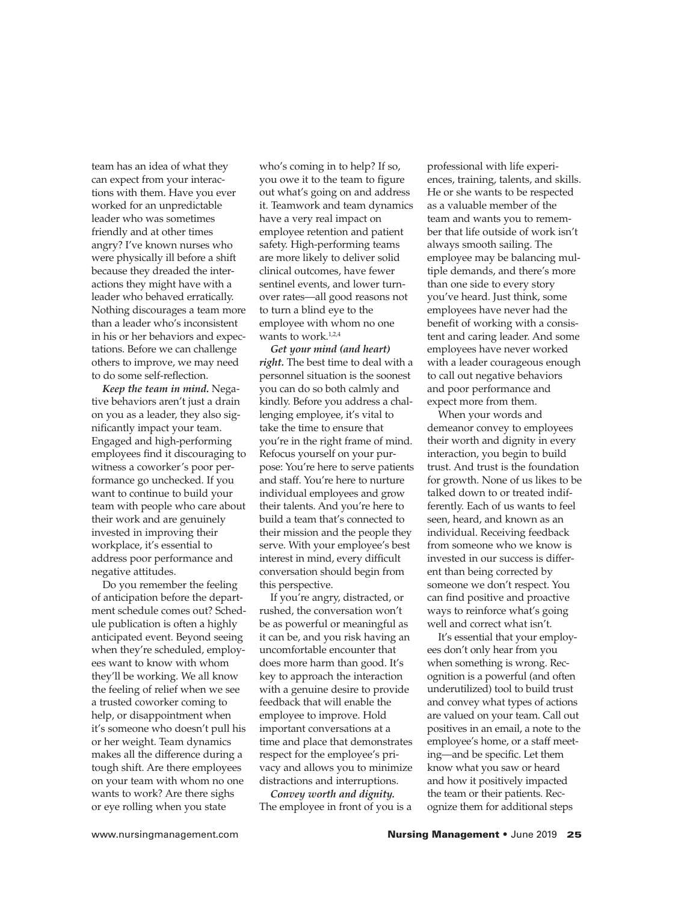team has an idea of what they can expect from your interactions with them. Have you ever worked for an unpredictable leader who was sometimes friendly and at other times angry? I've known nurses who were physically ill before a shift because they dreaded the interactions they might have with a leader who behaved erratically. Nothing discourages a team more than a leader who's inconsistent in his or her behaviors and expectations. Before we can challenge others to improve, we may need to do some self-reflection.

*Keep the team in mind.* Negative behaviors aren't just a drain on you as a leader, they also significantly impact your team. Engaged and high-performing employees find it discouraging to witness a coworker's poor performance go unchecked. If you want to continue to build your team with people who care about their work and are genuinely invested in improving their workplace, it's essential to address poor performance and negative attitudes.

Do you remember the feeling of anticipation before the department schedule comes out? Schedule publication is often a highly anticipated event. Beyond seeing when they're scheduled, employees want to know with whom they'll be working. We all know the feeling of relief when we see a trusted coworker coming to help, or disappointment when it's someone who doesn't pull his or her weight. Team dynamics makes all the difference during a tough shift. Are there employees on your team with whom no one wants to work? Are there sighs or eye rolling when you state

who's coming in to help? If so, you owe it to the team to figure out what's going on and address it. Teamwork and team dynamics have a very real impact on employee retention and patient safety. High-performing teams are more likely to deliver solid clinical outcomes, have fewer sentinel events, and lower turnover rates—all good reasons not to turn a blind eye to the employee with whom no one wants to work.<sup>1,2,4</sup>

*Get your mind (and heart) right.* The best time to deal with a personnel situation is the soonest you can do so both calmly and kindly. Before you address a challenging employee, it's vital to take the time to ensure that you're in the right frame of mind. Refocus yourself on your purpose: You're here to serve patients and staff. You're here to nurture individual employees and grow their talents. And you're here to build a team that's connected to their mission and the people they serve. With your employee's best interest in mind, every difficult conversation should begin from this perspective.

If you're angry, distracted, or rushed, the conversation won't be as powerful or meaningful as it can be, and you risk having an uncomfortable encounter that does more harm than good. It's key to approach the interaction with a genuine desire to provide feedback that will enable the employee to improve. Hold important conversations at a time and place that demonstrates respect for the employee's privacy and allows you to minimize distractions and interruptions.

*Convey worth and dignity.* The employee in front of you is a professional with life experiences, training, talents, and skills. He or she wants to be respected as a valuable member of the team and wants you to remember that life outside of work isn't always smooth sailing. The employee may be balancing multiple demands, and there's more than one side to every story you've heard. Just think, some employees have never had the benefit of working with a consistent and caring leader. And some employees have never worked with a leader courageous enough to call out negative behaviors and poor performance and expect more from them.

When your words and demeanor convey to employees their worth and dignity in every interaction, you begin to build trust. And trust is the foundation for growth. None of us likes to be talked down to or treated indifferently. Each of us wants to feel seen, heard, and known as an individual. Receiving feedback from someone who we know is invested in our success is different than being corrected by someone we don't respect. You can find positive and proactive ways to reinforce what's going well and correct what isn't.

It's essential that your employees don't only hear from you when something is wrong. Recognition is a powerful (and often underutilized) tool to build trust and convey what types of actions are valued on your team. Call out positives in an email, a note to the employee's home, or a staff meeting—and be specific. Let them know what you saw or heard and how it positively impacted the team or their patients. Recognize them for additional steps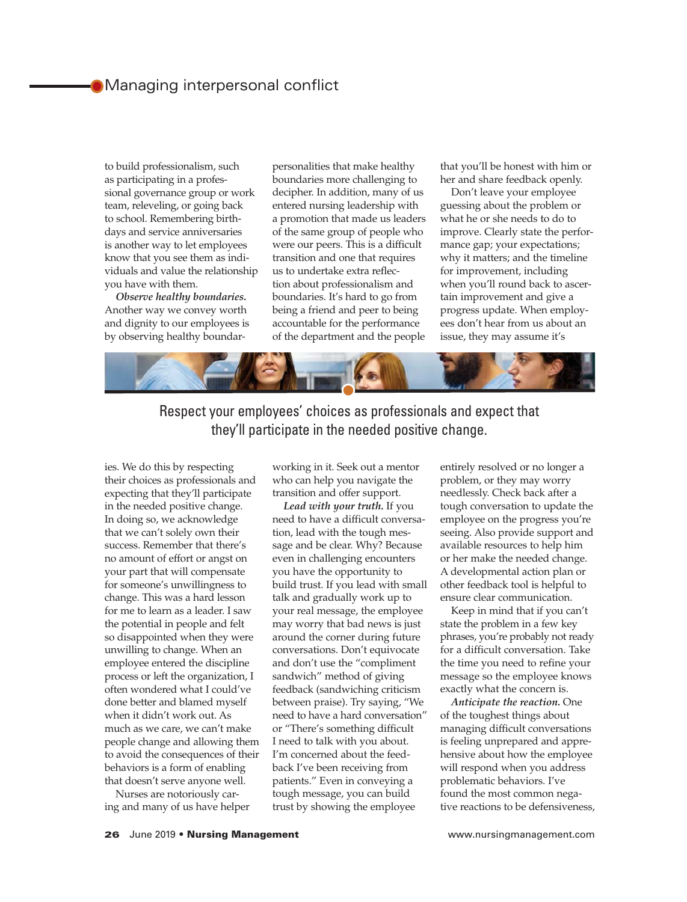# **• Managing interpersonal conflict**

to build professionalism, such as participating in a professional governance group or work team, releveling, or going back to school. Remembering birthdays and service anniversaries is another way to let employees know that you see them as individuals and value the relationship you have with them.

*Observe healthy boundaries.* Another way we convey worth and dignity to our employees is by observing healthy boundarpersonalities that make healthy boundaries more challenging to decipher. In addition, many of us entered nursing leadership with a promotion that made us leaders of the same group of people who were our peers. This is a difficult transition and one that requires us to undertake extra reflection about professionalism and boundaries. It's hard to go from being a friend and peer to being accountable for the performance of the department and the people

that you'll be honest with him or her and share feedback openly.

Don't leave your employee guessing about the problem or what he or she needs to do to improve. Clearly state the performance gap; your expectations; why it matters; and the timeline for improvement, including when you'll round back to ascertain improvement and give a progress update. When employees don't hear from us about an issue, they may assume it's



Respect your employees' choices as professionals and expect that they'll participate in the needed positive change.

ies. We do this by respecting their choices as professionals and expecting that they'll participate in the needed positive change. In doing so, we acknowledge that we can't solely own their success. Remember that there's no amount of effort or angst on your part that will compensate for someone's unwillingness to change. This was a hard lesson for me to learn as a leader. I saw the potential in people and felt so disappointed when they were unwilling to change. When an employee entered the discipline process or left the organization, I often wondered what I could've done better and blamed myself when it didn't work out. As much as we care, we can't make people change and allowing them to avoid the consequences of their behaviors is a form of enabling that doesn't serve anyone well.

Nurses are notoriously caring and many of us have helper working in it. Seek out a mentor who can help you navigate the transition and offer support.

*Lead with your truth.* If you need to have a difficult conversation, lead with the tough message and be clear. Why? Because even in challenging encounters you have the opportunity to build trust. If you lead with small talk and gradually work up to your real message, the employee may worry that bad news is just around the corner during future conversations. Don't equivocate and don't use the "compliment sandwich" method of giving feedback (sandwiching criticism between praise). Try saying, "We need to have a hard conversation" or "There's something difficult I need to talk with you about. I'm concerned about the feedback I've been receiving from patients." Even in conveying a tough message, you can build trust by showing the employee

entirely resolved or no longer a problem, or they may worry needlessly. Check back after a tough conversation to update the employee on the progress you're seeing. Also provide support and available resources to help him or her make the needed change. A developmental action plan or other feedback tool is helpful to ensure clear communication.

Keep in mind that if you can't state the problem in a few key phrases, you're probably not ready for a difficult conversation. Take the time you need to refine your message so the employee knows exactly what the concern is.

*Anticipate the reaction.* One of the toughest things about managing difficult conversations is feeling unprepared and apprehensive about how the employee will respond when you address problematic behaviors. I've found the most common negative reactions to be defensiveness,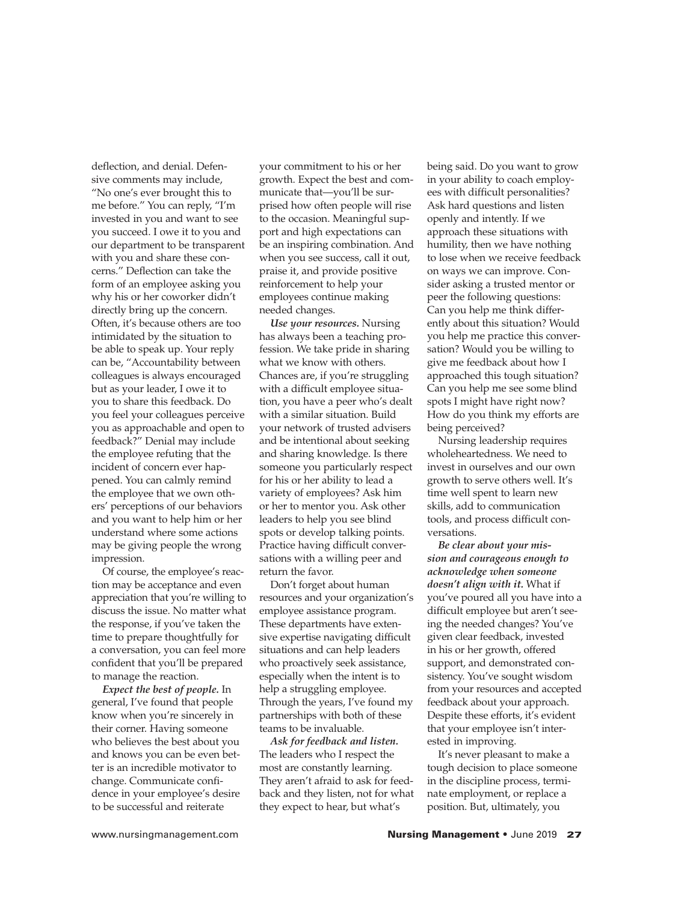deflection, and denial. Defensive comments may include, "No one's ever brought this to me before." You can reply, "I'm invested in you and want to see you succeed. I owe it to you and our department to be transparent with you and share these concerns." Deflection can take the form of an employee asking you why his or her coworker didn't directly bring up the concern. Often, it's because others are too intimidated by the situation to be able to speak up. Your reply can be, "Accountability between colleagues is always encouraged but as your leader, I owe it to you to share this feedback. Do you feel your colleagues perceive you as approachable and open to feedback?" Denial may include the employee refuting that the incident of concern ever happened. You can calmly remind the employee that we own others' perceptions of our behaviors and you want to help him or her understand where some actions may be giving people the wrong impression.

Of course, the employee's reaction may be acceptance and even appreciation that you're willing to discuss the issue. No matter what the response, if you've taken the time to prepare thoughtfully for a conversation, you can feel more confident that you'll be prepared to manage the reaction.

*Expect the best of people.* In general, I've found that people know when you're sincerely in their corner. Having someone who believes the best about you and knows you can be even better is an incredible motivator to change. Communicate confidence in your employee's desire to be successful and reiterate

your commitment to his or her growth. Expect the best and communicate that—you'll be surprised how often people will rise to the occasion. Meaningful support and high expectations can be an inspiring combination. And when you see success, call it out, praise it, and provide positive reinforcement to help your employees continue making needed changes.

*Use your resources.* Nursing has always been a teaching profession. We take pride in sharing what we know with others. Chances are, if you're struggling with a difficult employee situation, you have a peer who's dealt with a similar situation. Build your network of trusted advisers and be intentional about seeking and sharing knowledge. Is there someone you particularly respect for his or her ability to lead a variety of employees? Ask him or her to mentor you. Ask other leaders to help you see blind spots or develop talking points. Practice having difficult conversations with a willing peer and return the favor.

Don't forget about human resources and your organization's employee assistance program. These departments have extensive expertise navigating difficult situations and can help leaders who proactively seek assistance, especially when the intent is to help a struggling employee. Through the years, I've found my partnerships with both of these teams to be invaluable.

*Ask for feedback and listen.* The leaders who I respect the most are constantly learning. They aren't afraid to ask for feedback and they listen, not for what they expect to hear, but what's

being said. Do you want to grow in your ability to coach employees with difficult personalities? Ask hard questions and listen openly and intently. If we approach these situations with humility, then we have nothing to lose when we receive feedback on ways we can improve. Consider asking a trusted mentor or peer the following questions: Can you help me think differently about this situation? Would you help me practice this conversation? Would you be willing to give me feedback about how I approached this tough situation? Can you help me see some blind spots I might have right now? How do you think my efforts are being perceived?

Nursing leadership requires wholeheartedness. We need to invest in ourselves and our own growth to serve others well. It's time well spent to learn new skills, add to communication tools, and process difficult conversations.

*Be clear about your mission and courageous enough to acknowledge when someone doesn't align with it.* What if you've poured all you have into a difficult employee but aren't seeing the needed changes? You've given clear feedback, invested in his or her growth, offered support, and demonstrated consistency. You've sought wisdom from your resources and accepted feedback about your approach. Despite these efforts, it's evident that your employee isn't interested in improving.

It's never pleasant to make a tough decision to place someone in the discipline process, terminate employment, or replace a position. But, ultimately, you